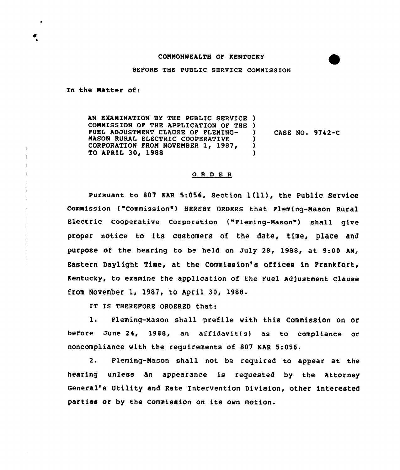## COMMONWEALTH OF KENTUCKY

BEFORE THE PUBLIC SERVICE COMMISSION

In the Natter of:

AN EXAMINATION BY THE PUBLIC SERVICE ) COMMISSION OF THE APPLICATION OF THE ) FUEL ADJUSTMENT CLAUSE OF FLENINQ-MASON RURAL ELECTRIC COOPERATIVE CORPORATION FROM NOVEMBER 1, 1987, TO APRIL 30, 1988 ) CASE NO. 9742-C ) ) )

## 0 R <sup>D</sup> E <sup>R</sup>

Pursuant to 807 KAR 5:056, Section  $l(11)$ , the Public Service Commission ("Commission") HEREBY ORDERS that Fleming-Mason Rural Electric Cooperative Corporation ("Fleming-Mason") shall give proper notice to its customers of the date, time, place and purpose of the hearing to be held on July 28, 1988, at 9:00 AM, Eastern Daylight Time, at the Commission's offices in Frankfort, Kentucky, to examine the application of the Fuel Adjustment Clause from November 1, 1987, to April 30, 1988.

IT IS THEREFORE ORDERED that:

1. Fleming-Mason shall prefile with this Commission on Or before June 24, 1988, an affidavit(s) as to compliance or noncompliance with the requirements of 807 KAR 5:056.

2. Fleming-Mason shall not be required to appear at the hearing unless hn appearance is requested by the Attorney General's Utility and Rate Intervention Division, other interested parties or by the Commission on its own motion.